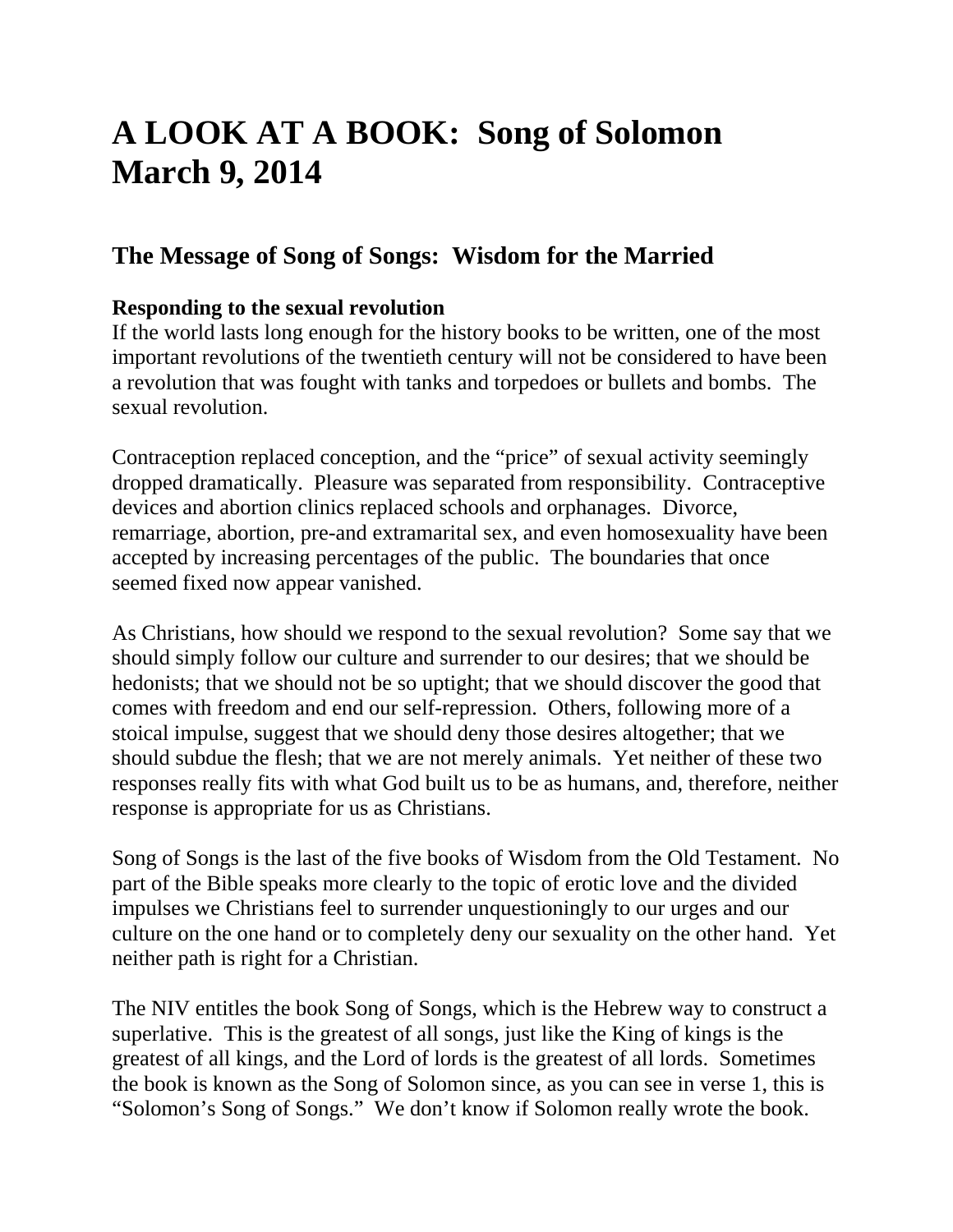# **A LOOK AT A BOOK: Song of Solomon March 9, 2014**

# **The Message of Song of Songs: Wisdom for the Married**

#### **Responding to the sexual revolution**

If the world lasts long enough for the history books to be written, one of the most important revolutions of the twentieth century will not be considered to have been a revolution that was fought with tanks and torpedoes or bullets and bombs. The sexual revolution.

Contraception replaced conception, and the "price" of sexual activity seemingly dropped dramatically. Pleasure was separated from responsibility. Contraceptive devices and abortion clinics replaced schools and orphanages. Divorce, remarriage, abortion, pre-and extramarital sex, and even homosexuality have been accepted by increasing percentages of the public. The boundaries that once seemed fixed now appear vanished.

As Christians, how should we respond to the sexual revolution? Some say that we should simply follow our culture and surrender to our desires; that we should be hedonists; that we should not be so uptight; that we should discover the good that comes with freedom and end our self-repression. Others, following more of a stoical impulse, suggest that we should deny those desires altogether; that we should subdue the flesh; that we are not merely animals. Yet neither of these two responses really fits with what God built us to be as humans, and, therefore, neither response is appropriate for us as Christians.

Song of Songs is the last of the five books of Wisdom from the Old Testament. No part of the Bible speaks more clearly to the topic of erotic love and the divided impulses we Christians feel to surrender unquestioningly to our urges and our culture on the one hand or to completely deny our sexuality on the other hand. Yet neither path is right for a Christian.

The NIV entitles the book Song of Songs, which is the Hebrew way to construct a superlative. This is the greatest of all songs, just like the King of kings is the greatest of all kings, and the Lord of lords is the greatest of all lords. Sometimes the book is known as the Song of Solomon since, as you can see in verse 1, this is "Solomon's Song of Songs." We don't know if Solomon really wrote the book.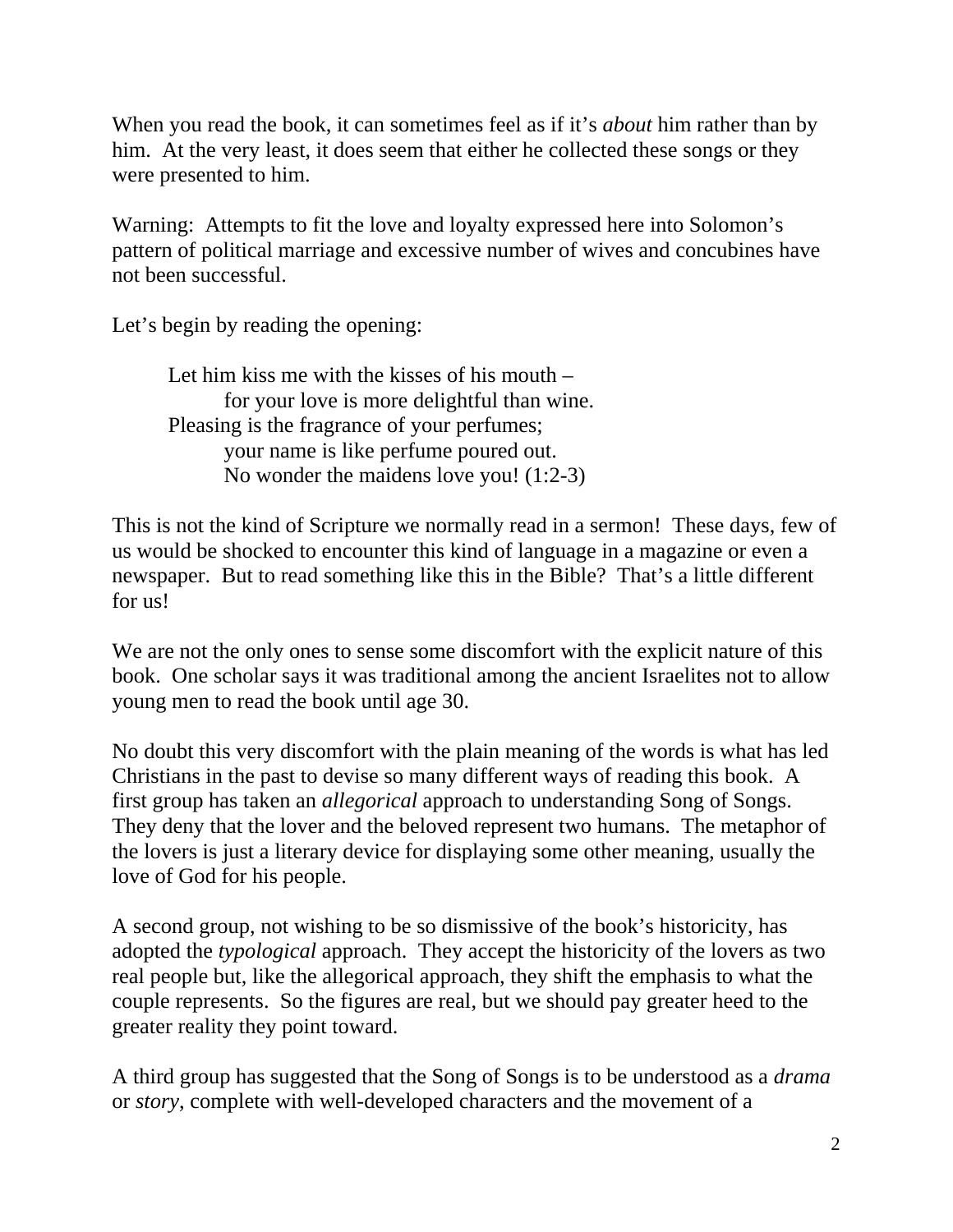When you read the book, it can sometimes feel as if it's *about* him rather than by him. At the very least, it does seem that either he collected these songs or they were presented to him.

Warning: Attempts to fit the love and loyalty expressed here into Solomon's pattern of political marriage and excessive number of wives and concubines have not been successful.

Let's begin by reading the opening:

 Let him kiss me with the kisses of his mouth – for your love is more delightful than wine. Pleasing is the fragrance of your perfumes; your name is like perfume poured out. No wonder the maidens love you! (1:2-3)

This is not the kind of Scripture we normally read in a sermon! These days, few of us would be shocked to encounter this kind of language in a magazine or even a newspaper. But to read something like this in the Bible? That's a little different for us!

We are not the only ones to sense some discomfort with the explicit nature of this book. One scholar says it was traditional among the ancient Israelites not to allow young men to read the book until age 30.

No doubt this very discomfort with the plain meaning of the words is what has led Christians in the past to devise so many different ways of reading this book. A first group has taken an *allegorical* approach to understanding Song of Songs. They deny that the lover and the beloved represent two humans. The metaphor of the lovers is just a literary device for displaying some other meaning, usually the love of God for his people.

A second group, not wishing to be so dismissive of the book's historicity, has adopted the *typological* approach. They accept the historicity of the lovers as two real people but, like the allegorical approach, they shift the emphasis to what the couple represents. So the figures are real, but we should pay greater heed to the greater reality they point toward.

A third group has suggested that the Song of Songs is to be understood as a *drama*  or *story*, complete with well-developed characters and the movement of a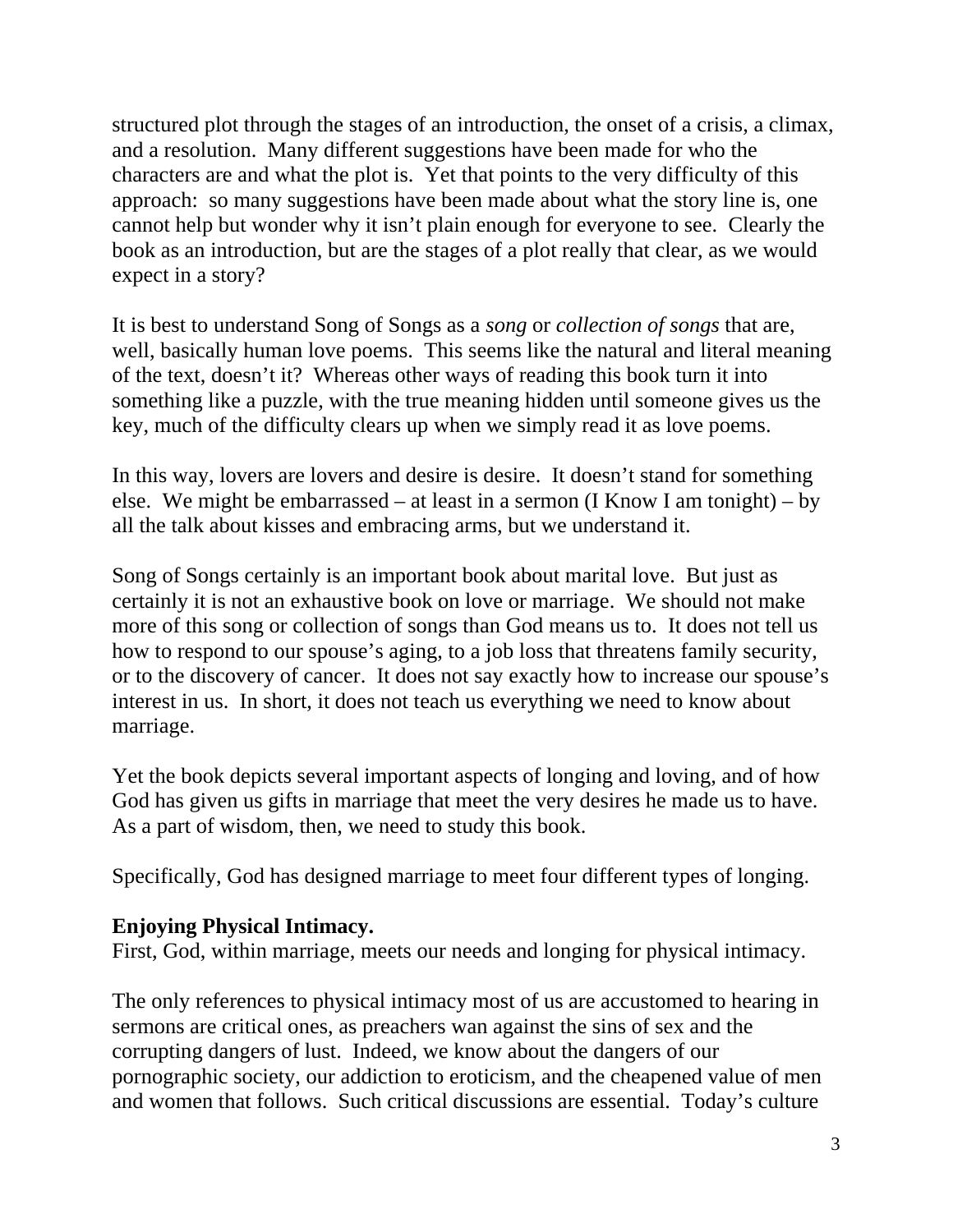structured plot through the stages of an introduction, the onset of a crisis, a climax, and a resolution. Many different suggestions have been made for who the characters are and what the plot is. Yet that points to the very difficulty of this approach: so many suggestions have been made about what the story line is, one cannot help but wonder why it isn't plain enough for everyone to see. Clearly the book as an introduction, but are the stages of a plot really that clear, as we would expect in a story?

It is best to understand Song of Songs as a *song* or *collection of songs* that are, well, basically human love poems. This seems like the natural and literal meaning of the text, doesn't it? Whereas other ways of reading this book turn it into something like a puzzle, with the true meaning hidden until someone gives us the key, much of the difficulty clears up when we simply read it as love poems.

In this way, lovers are lovers and desire is desire. It doesn't stand for something else. We might be embarrassed – at least in a sermon  $(I$  Know I am tonight) – by all the talk about kisses and embracing arms, but we understand it.

Song of Songs certainly is an important book about marital love. But just as certainly it is not an exhaustive book on love or marriage. We should not make more of this song or collection of songs than God means us to. It does not tell us how to respond to our spouse's aging, to a job loss that threatens family security, or to the discovery of cancer. It does not say exactly how to increase our spouse's interest in us. In short, it does not teach us everything we need to know about marriage.

Yet the book depicts several important aspects of longing and loving, and of how God has given us gifts in marriage that meet the very desires he made us to have. As a part of wisdom, then, we need to study this book.

Specifically, God has designed marriage to meet four different types of longing.

## **Enjoying Physical Intimacy.**

First, God, within marriage, meets our needs and longing for physical intimacy.

The only references to physical intimacy most of us are accustomed to hearing in sermons are critical ones, as preachers wan against the sins of sex and the corrupting dangers of lust. Indeed, we know about the dangers of our pornographic society, our addiction to eroticism, and the cheapened value of men and women that follows. Such critical discussions are essential. Today's culture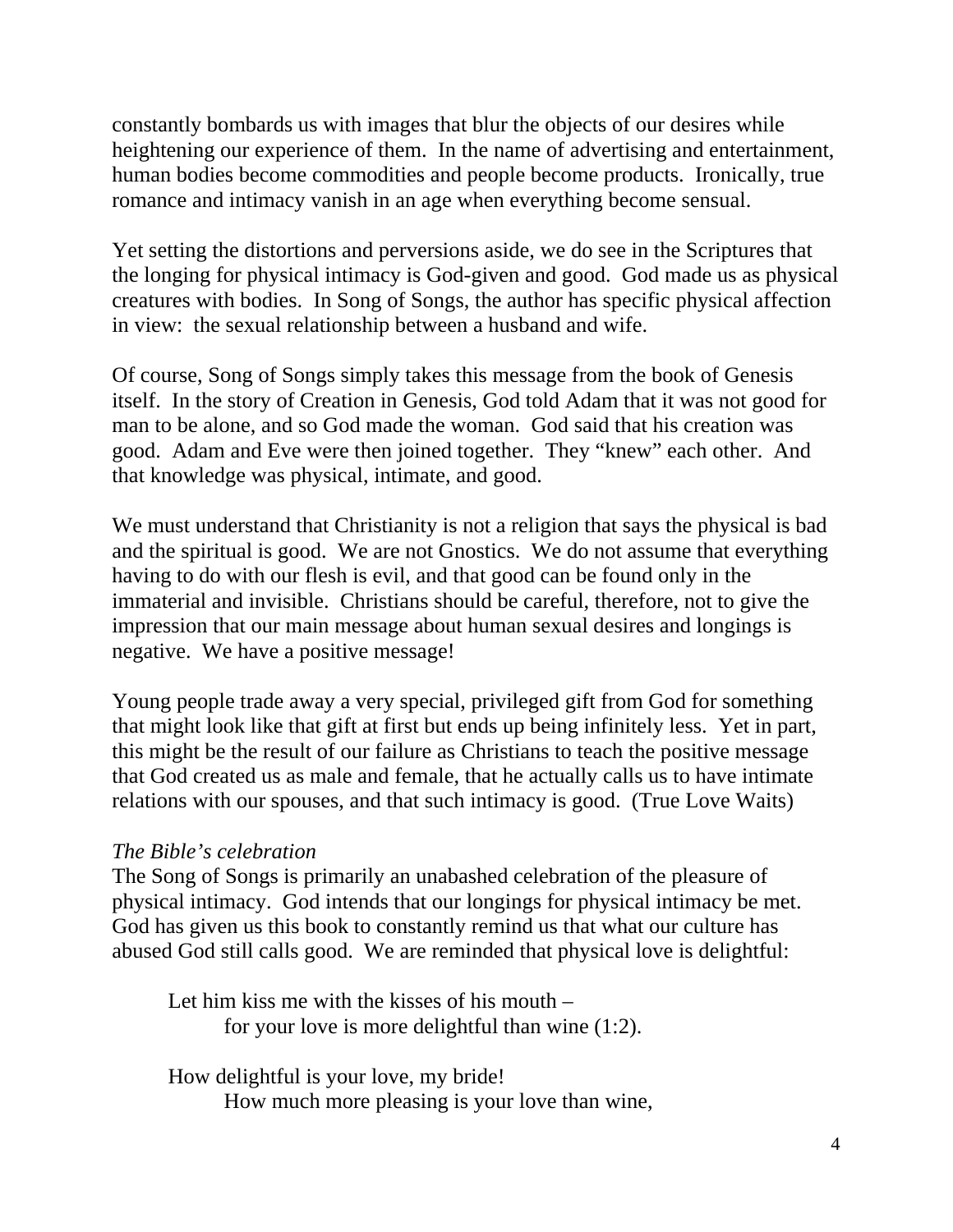constantly bombards us with images that blur the objects of our desires while heightening our experience of them. In the name of advertising and entertainment, human bodies become commodities and people become products. Ironically, true romance and intimacy vanish in an age when everything become sensual.

Yet setting the distortions and perversions aside, we do see in the Scriptures that the longing for physical intimacy is God-given and good. God made us as physical creatures with bodies. In Song of Songs, the author has specific physical affection in view: the sexual relationship between a husband and wife.

Of course, Song of Songs simply takes this message from the book of Genesis itself. In the story of Creation in Genesis, God told Adam that it was not good for man to be alone, and so God made the woman. God said that his creation was good. Adam and Eve were then joined together. They "knew" each other. And that knowledge was physical, intimate, and good.

We must understand that Christianity is not a religion that says the physical is bad and the spiritual is good. We are not Gnostics. We do not assume that everything having to do with our flesh is evil, and that good can be found only in the immaterial and invisible. Christians should be careful, therefore, not to give the impression that our main message about human sexual desires and longings is negative. We have a positive message!

Young people trade away a very special, privileged gift from God for something that might look like that gift at first but ends up being infinitely less. Yet in part, this might be the result of our failure as Christians to teach the positive message that God created us as male and female, that he actually calls us to have intimate relations with our spouses, and that such intimacy is good. (True Love Waits)

#### *The Bible's celebration*

The Song of Songs is primarily an unabashed celebration of the pleasure of physical intimacy. God intends that our longings for physical intimacy be met. God has given us this book to constantly remind us that what our culture has abused God still calls good. We are reminded that physical love is delightful:

 Let him kiss me with the kisses of his mouth – for your love is more delightful than wine (1:2).

How delightful is your love, my bride!

How much more pleasing is your love than wine,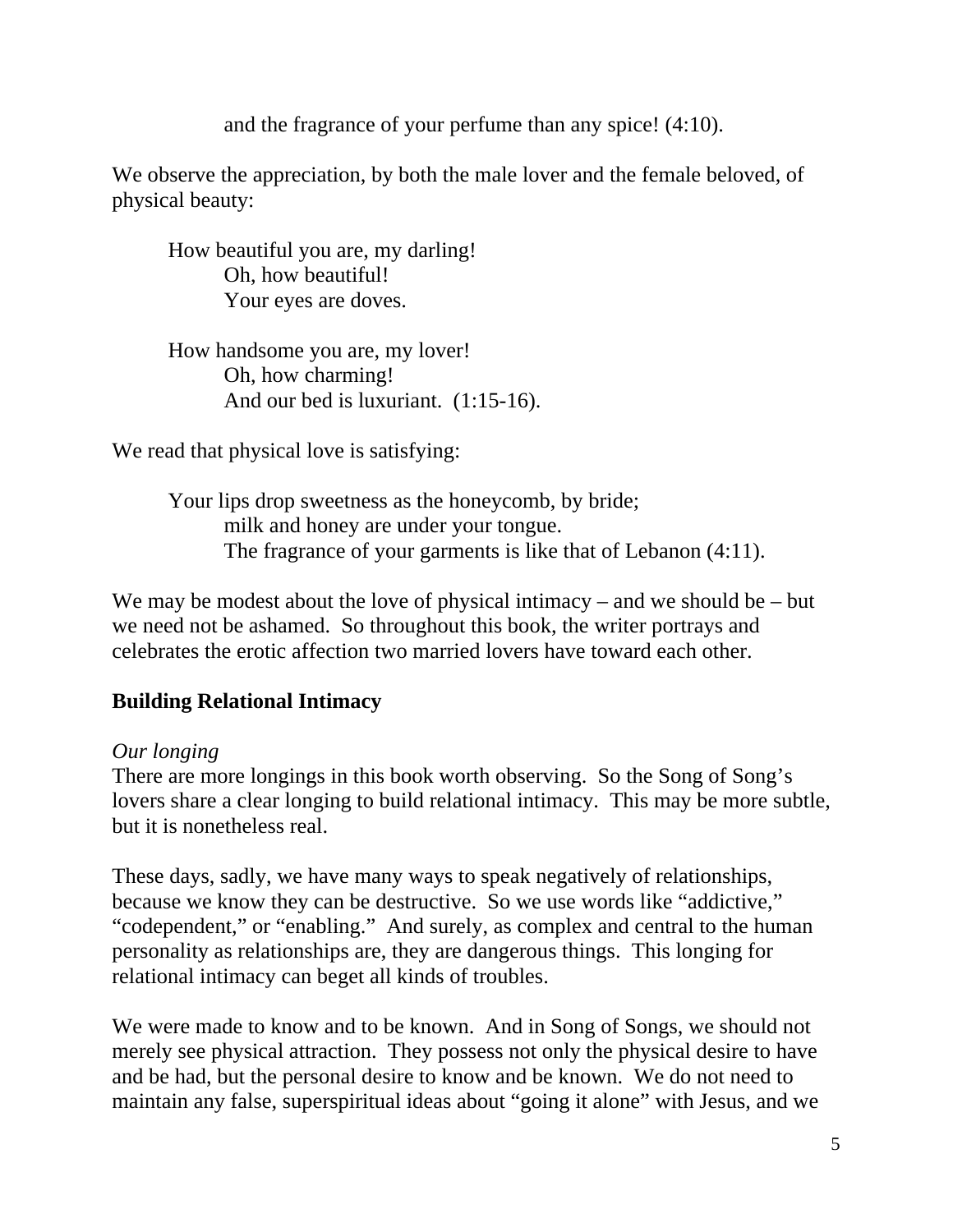and the fragrance of your perfume than any spice! (4:10).

We observe the appreciation, by both the male lover and the female beloved, of physical beauty:

 How beautiful you are, my darling! Oh, how beautiful! Your eyes are doves.

 How handsome you are, my lover! Oh, how charming! And our bed is luxuriant. (1:15-16).

We read that physical love is satisfying:

 Your lips drop sweetness as the honeycomb, by bride; milk and honey are under your tongue. The fragrance of your garments is like that of Lebanon (4:11).

We may be modest about the love of physical intimacy – and we should be – but we need not be ashamed. So throughout this book, the writer portrays and celebrates the erotic affection two married lovers have toward each other.

# **Building Relational Intimacy**

#### *Our longing*

There are more longings in this book worth observing. So the Song of Song's lovers share a clear longing to build relational intimacy. This may be more subtle, but it is nonetheless real.

These days, sadly, we have many ways to speak negatively of relationships, because we know they can be destructive. So we use words like "addictive," "codependent," or "enabling." And surely, as complex and central to the human personality as relationships are, they are dangerous things. This longing for relational intimacy can beget all kinds of troubles.

We were made to know and to be known. And in Song of Songs, we should not merely see physical attraction. They possess not only the physical desire to have and be had, but the personal desire to know and be known. We do not need to maintain any false, superspiritual ideas about "going it alone" with Jesus, and we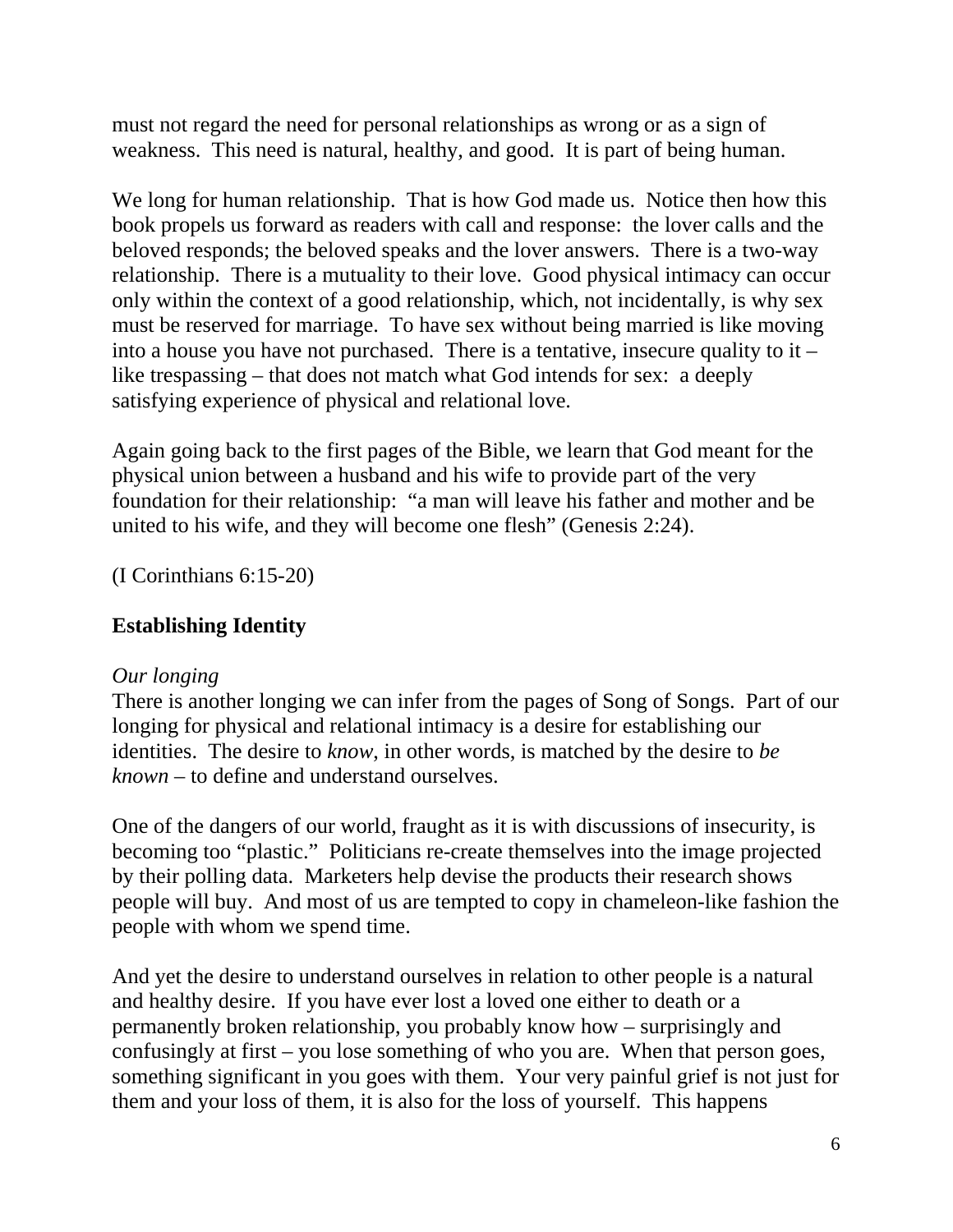must not regard the need for personal relationships as wrong or as a sign of weakness. This need is natural, healthy, and good. It is part of being human.

We long for human relationship. That is how God made us. Notice then how this book propels us forward as readers with call and response: the lover calls and the beloved responds; the beloved speaks and the lover answers. There is a two-way relationship. There is a mutuality to their love. Good physical intimacy can occur only within the context of a good relationship, which, not incidentally, is why sex must be reserved for marriage. To have sex without being married is like moving into a house you have not purchased. There is a tentative, insecure quality to it – like trespassing – that does not match what God intends for sex: a deeply satisfying experience of physical and relational love.

Again going back to the first pages of the Bible, we learn that God meant for the physical union between a husband and his wife to provide part of the very foundation for their relationship: "a man will leave his father and mother and be united to his wife, and they will become one flesh" (Genesis 2:24).

(I Corinthians 6:15-20)

# **Establishing Identity**

#### *Our longing*

There is another longing we can infer from the pages of Song of Songs. Part of our longing for physical and relational intimacy is a desire for establishing our identities. The desire to *know*, in other words, is matched by the desire to *be known* – to define and understand ourselves.

One of the dangers of our world, fraught as it is with discussions of insecurity, is becoming too "plastic." Politicians re-create themselves into the image projected by their polling data. Marketers help devise the products their research shows people will buy. And most of us are tempted to copy in chameleon-like fashion the people with whom we spend time.

And yet the desire to understand ourselves in relation to other people is a natural and healthy desire. If you have ever lost a loved one either to death or a permanently broken relationship, you probably know how – surprisingly and confusingly at first – you lose something of who you are. When that person goes, something significant in you goes with them. Your very painful grief is not just for them and your loss of them, it is also for the loss of yourself. This happens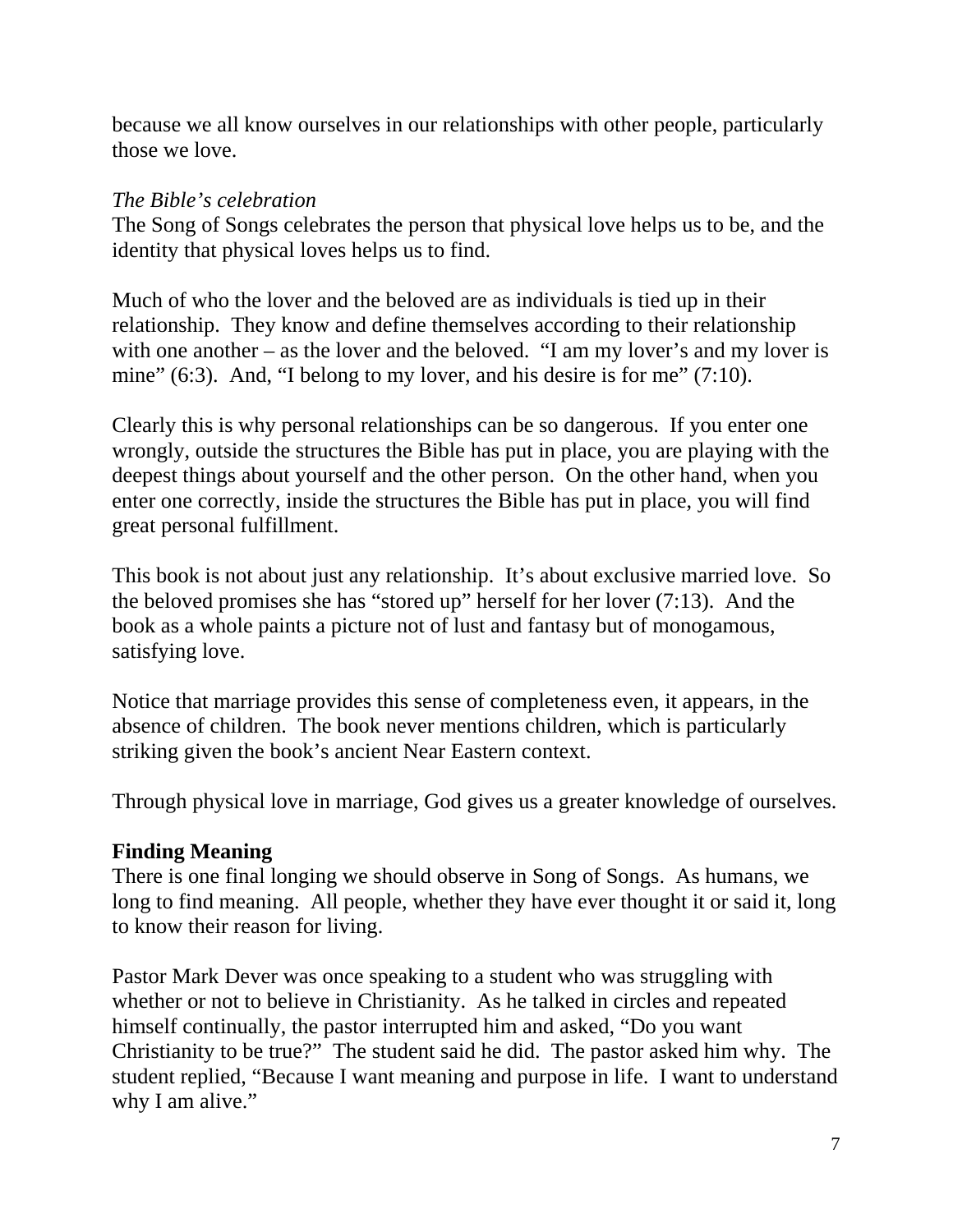because we all know ourselves in our relationships with other people, particularly those we love.

#### *The Bible's celebration*

The Song of Songs celebrates the person that physical love helps us to be, and the identity that physical loves helps us to find.

Much of who the lover and the beloved are as individuals is tied up in their relationship. They know and define themselves according to their relationship with one another – as the lover and the beloved. "I am my lover's and my lover is mine" (6:3). And, "I belong to my lover, and his desire is for me" (7:10).

Clearly this is why personal relationships can be so dangerous. If you enter one wrongly, outside the structures the Bible has put in place, you are playing with the deepest things about yourself and the other person. On the other hand, when you enter one correctly, inside the structures the Bible has put in place, you will find great personal fulfillment.

This book is not about just any relationship. It's about exclusive married love. So the beloved promises she has "stored up" herself for her lover (7:13). And the book as a whole paints a picture not of lust and fantasy but of monogamous, satisfying love.

Notice that marriage provides this sense of completeness even, it appears, in the absence of children. The book never mentions children, which is particularly striking given the book's ancient Near Eastern context.

Through physical love in marriage, God gives us a greater knowledge of ourselves.

## **Finding Meaning**

There is one final longing we should observe in Song of Songs. As humans, we long to find meaning. All people, whether they have ever thought it or said it, long to know their reason for living.

Pastor Mark Dever was once speaking to a student who was struggling with whether or not to believe in Christianity. As he talked in circles and repeated himself continually, the pastor interrupted him and asked, "Do you want Christianity to be true?" The student said he did. The pastor asked him why. The student replied, "Because I want meaning and purpose in life. I want to understand why I am alive."